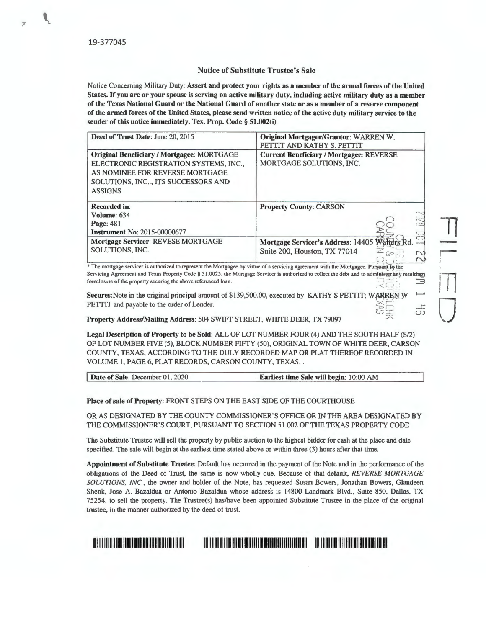.,

## **Notice of Substitute Trustee's Sale**

Notice Concerning Military Duty: **Assert and protect your rights as a member of the armed forces of the United States.** If **you are or your spouse is serving on active military duty, including active military duty as a member of the Texas National Guard or the National Guard of another state or as a member of a reserve component of the armed forces of the United States, please send written notice of the active duty military service to the sender of this notice immediately. Tex. Prop. Code§ 51.002(i)** 

| Deed of Trust Date: June 20, 2015                                                                                                                                                     | Original Mortgagor/Grantor: WARREN W.<br>PETTIT AND KATHY S. PETTIT                |
|---------------------------------------------------------------------------------------------------------------------------------------------------------------------------------------|------------------------------------------------------------------------------------|
| <b>Original Beneficiary / Mortgagee: MORTGAGE</b><br>ELECTRONIC REGISTRATION SYSTEMS, INC.,<br>AS NOMINEE FOR REVERSE MORTGAGE<br>SOLUTIONS, INC ITS SUCCESSORS AND<br><b>ASSIGNS</b> | <b>Current Beneficiary / Mortgagee: REVERSE</b><br><b>MORTGAGE SOLUTIONS. INC.</b> |
| <b>Recorded in:</b><br>Volume: 634<br>Page: 481<br><b>Instrument No: 2015-00000677</b>                                                                                                | <b>Property County: CARSON</b><br>$\frac{1}{2}$                                    |
| Mortgage Servicer: REVESE MORTGAGE<br>SOLUTIONS, INC.                                                                                                                                 | Walters Rd<br>Mortgage Servicer's Address: 14405<br>Suite 200, Houston, TX 77014   |

The mortgage servicer is authorized to represent the Mortgagee by virtue of a servicing agreement with the Mortgagee. Pursuant to the Servicing Agreement and Texas Property Code § 51.0025, the Mortgage Servicer is authorized to collect the debt and to admittister any resulting foreclosure of the property securing the above referenced loan.

**Secures: Note in the original principal amount of \$139,500.00, executed by KATHY S PETTIT; WARREN W**  $\rightarrow$ PETTIT and payable to the order of Lender.  $\varpi$ 

<sup>A</sup>**Property Address/Mailing Address:** 504 SWIFT STREET, WHITE DEER, TX 79097

**Legal Description of Property to be Sold:** ALL OF LOT NUMBER FOUR (4) AND THE SOUTH HALF (S/2) OF LOT NUMBER FIVE (5), BLOCK NUMBER FIFTY (50), ORIGINAL TOWN OF WHITE DEER, CARSON COUNTY, TEXAS, ACCORDING TO THE DULY RECORDED MAP OR PLAT THEREOF RECORDED IN VOLUME I, PAGE 6, PLAT RECORDS, CARSON COUNTY, TEXAS . .

 $\frac{1}{5}$ 

11

rn

0

-'

| Date of Sale: December 01, 2020 | <b>Earliest time Sale will begin: 10:00 AM</b> |
|---------------------------------|------------------------------------------------|

**Place of sale of Property:** FRONT STEPS ON THE EAST SIDE OF THE COURTHOUSE

OR AS DESIGNATED BY THE COUNTY COMMISSIONER'S OFFICE OR IN THE AREA DESIGNATED BY THE COMMISSIONER'S COURT, PURSUANT TO SECTION 51.002 OF THE TEXAS PROPERTY CODE

The Substitute Trustee will sell the property by public auction to the highest bidder for cash at the place and date specified. The sale will begin at the earliest time stated above or within three (3) hours after that time.

**Appointment of Substitute Trustee:** Default has occurred in the payment of the Note and in the performance of the obligations of the Deed of Trust, the same is now wholly due. Because of that default, *REVERSE MORTGAGE SOLUTIONS, INC.,* the owner and holder of the Note, has requested Susan Bowers, Jonathan Bowers, Glandeen Shenk, Jose A. Bazaldua or Antonio Bazaldua whose address is 14800 Landmark Blvd., Suite 850, Dallas, TX 75254, to sell the property. The Trustee(s) has/have been appointed Substitute Trustee in the place of the original trustee, in the manner authorized by the deed of trust.

<u>OR ET IN DESTRUSSION DER DER LEIDER FRAMEN IM BEREICH BEREICH BEREICHER BEI DIE BEHEIME IN BEHEIME BEHEIME BEREICH BE</u>